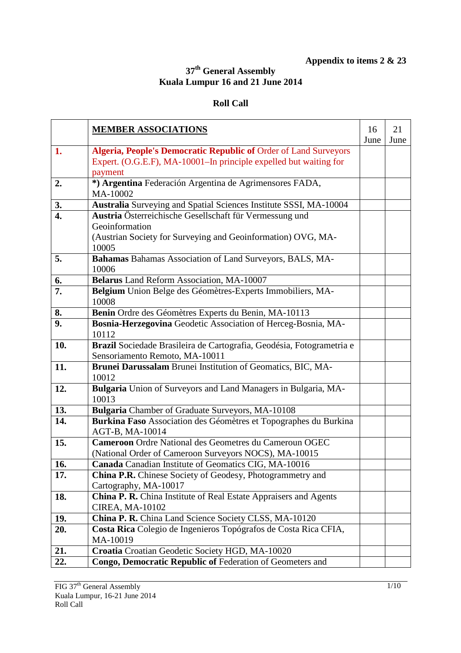## **Appendix to items 2 & 23**

## **37th General Assembly Kuala Lumpur 16 and 21 June 2014**

## **Roll Call**

|                  | <b>MEMBER ASSOCIATIONS</b>                                                                                                                   | 16   | 21   |
|------------------|----------------------------------------------------------------------------------------------------------------------------------------------|------|------|
| 1.               |                                                                                                                                              | June | June |
|                  | <b>Algeria, People's Democratic Republic of Order of Land Surveyors</b><br>Expert. (O.G.E.F), MA-10001–In principle expelled but waiting for |      |      |
|                  | payment                                                                                                                                      |      |      |
| 2.               | *) Argentina Federación Argentina de Agrimensores FADA,                                                                                      |      |      |
|                  | MA-10002                                                                                                                                     |      |      |
| 3.               | Australia Surveying and Spatial Sciences Institute SSSI, MA-10004                                                                            |      |      |
| $\overline{4}$ . | Austria Österreichische Gesellschaft für Vermessung und                                                                                      |      |      |
|                  | Geoinformation                                                                                                                               |      |      |
|                  | (Austrian Society for Surveying and Geoinformation) OVG, MA-                                                                                 |      |      |
|                  | 10005                                                                                                                                        |      |      |
| 5.               | Bahamas Bahamas Association of Land Surveyors, BALS, MA-                                                                                     |      |      |
|                  | 10006                                                                                                                                        |      |      |
| 6.               | Belarus Land Reform Association, MA-10007                                                                                                    |      |      |
| 7.               | Belgium Union Belge des Géomètres-Experts Immobiliers, MA-                                                                                   |      |      |
|                  | 10008                                                                                                                                        |      |      |
| 8.               | Benin Ordre des Géomètres Experts du Benin, MA-10113                                                                                         |      |      |
| 9.               | Bosnia-Herzegovina Geodetic Association of Herceg-Bosnia, MA-                                                                                |      |      |
|                  | 10112                                                                                                                                        |      |      |
| 10.              | Brazil Sociedade Brasileira de Cartografia, Geodésia, Fotogrametria e                                                                        |      |      |
|                  | Sensoriamento Remoto, MA-10011                                                                                                               |      |      |
| 11.              | Brunei Darussalam Brunei Institution of Geomatics, BIC, MA-                                                                                  |      |      |
|                  | 10012                                                                                                                                        |      |      |
| 12.              | Bulgaria Union of Surveyors and Land Managers in Bulgaria, MA-                                                                               |      |      |
|                  | 10013                                                                                                                                        |      |      |
| 13.              | Bulgaria Chamber of Graduate Surveyors, MA-10108                                                                                             |      |      |
| 14.              | Burkina Faso Association des Géomètres et Topographes du Burkina                                                                             |      |      |
| 15.              | AGT-B, MA-10014<br><b>Cameroon</b> Ordre National des Geometres du Cameroun OGEC                                                             |      |      |
|                  | (National Order of Cameroon Surveyors NOCS), MA-10015                                                                                        |      |      |
| 16.              | Canada Canadian Institute of Geomatics CIG, MA-10016                                                                                         |      |      |
| 17.              | <b>China P.R.</b> Chinese Society of Geodesy, Photogrammetry and                                                                             |      |      |
|                  | Cartography, MA-10017                                                                                                                        |      |      |
| 18.              | <b>China P. R.</b> China Institute of Real Estate Appraisers and Agents                                                                      |      |      |
|                  | <b>CIREA, MA-10102</b>                                                                                                                       |      |      |
| 19.              | China P. R. China Land Science Society CLSS, MA-10120                                                                                        |      |      |
| 20.              | Costa Rica Colegio de Ingenieros Topógrafos de Costa Rica CFIA,                                                                              |      |      |
|                  | MA-10019                                                                                                                                     |      |      |
| 21.              | Croatia Croatian Geodetic Society HGD, MA-10020                                                                                              |      |      |
| 22.              | Congo, Democratic Republic of Federation of Geometers and                                                                                    |      |      |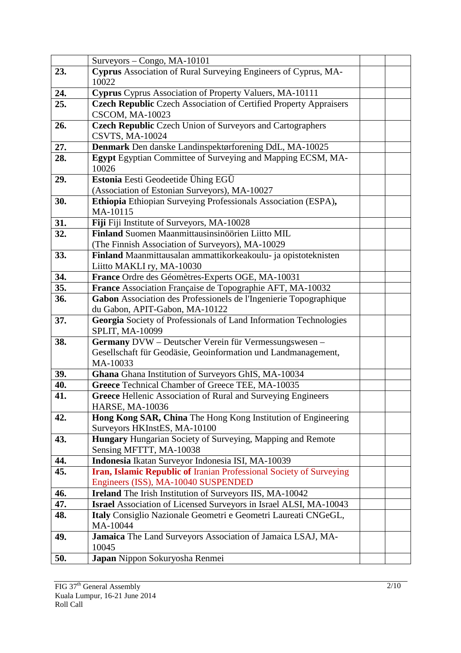|     | Surveyors - Congo, MA-10101                                                                       |  |
|-----|---------------------------------------------------------------------------------------------------|--|
| 23. | <b>Cyprus</b> Association of Rural Surveying Engineers of Cyprus, MA-<br>10022                    |  |
| 24. | Cyprus Cyprus Association of Property Valuers, MA-10111                                           |  |
| 25. | <b>Czech Republic Czech Association of Certified Property Appraisers</b>                          |  |
|     | <b>CSCOM, MA-10023</b>                                                                            |  |
| 26. | <b>Czech Republic</b> Czech Union of Surveyors and Cartographers                                  |  |
|     | <b>CSVTS, MA-10024</b>                                                                            |  |
| 27. | Denmark Den danske Landinspektørforening DdL, MA-10025                                            |  |
| 28. | <b>Egypt</b> Egyptian Committee of Surveying and Mapping ECSM, MA-<br>10026                       |  |
| 29. | Estonia Eesti Geodeetide Ühing EGÜ                                                                |  |
|     | (Association of Estonian Surveyors), MA-10027                                                     |  |
| 30. | Ethiopia Ethiopian Surveying Professionals Association (ESPA),                                    |  |
|     | MA-10115                                                                                          |  |
| 31. | Fiji Fiji Institute of Surveyors, MA-10028                                                        |  |
| 32. | Finland Suomen Maanmittausinsinöörien Liitto MIL                                                  |  |
|     | (The Finnish Association of Surveyors), MA-10029                                                  |  |
| 33. | Finland Maanmittausalan ammattikorkeakoulu- ja opistoteknisten                                    |  |
|     | Liitto MAKLI ry, MA-10030                                                                         |  |
| 34. | France Ordre des Géomètres-Experts OGE, MA-10031                                                  |  |
| 35. | France Association Française de Topographie AFT, MA-10032                                         |  |
| 36. | Gabon Association des Professionels de l'Ingenierie Topographique                                 |  |
| 37. | du Gabon, APIT-Gabon, MA-10122                                                                    |  |
|     | Georgia Society of Professionals of Land Information Technologies<br>SPLIT, MA-10099              |  |
| 38. | Germany DVW - Deutscher Verein für Vermessungswesen -                                             |  |
|     | Gesellschaft für Geodäsie, Geoinformation und Landmanagement,                                     |  |
|     | MA-10033                                                                                          |  |
| 39. | Ghana Ghana Institution of Surveyors GhIS, MA-10034                                               |  |
| 40. | Greece Technical Chamber of Greece TEE, MA-10035                                                  |  |
| 41. | <b>Greece Hellenic Association of Rural and Surveying Engineers</b>                               |  |
|     | <b>HARSE, MA-10036</b>                                                                            |  |
| 42. | Hong Kong SAR, China The Hong Kong Institution of Engineering                                     |  |
| 43. | Surveyors HKInstES, MA-10100<br><b>Hungary</b> Hungarian Society of Surveying, Mapping and Remote |  |
|     | Sensing MFTTT, MA-10038                                                                           |  |
| 44. | Indonesia Ikatan Surveyor Indonesia ISI, MA-10039                                                 |  |
| 45. | Iran, Islamic Republic of Iranian Professional Society of Surveying                               |  |
|     | Engineers (ISS), MA-10040 SUSPENDED                                                               |  |
| 46. | <b>Ireland</b> The Irish Institution of Surveyors IIS, MA-10042                                   |  |
| 47. | <b>Israel</b> Association of Licensed Surveyors in Israel ALSI, MA-10043                          |  |
| 48. | Italy Consiglio Nazionale Geometri e Geometri Laureati CNGeGL,                                    |  |
|     | MA-10044                                                                                          |  |
| 49. | Jamaica The Land Surveyors Association of Jamaica LSAJ, MA-                                       |  |
|     | 10045                                                                                             |  |
| 50. | Japan Nippon Sokuryosha Renmei                                                                    |  |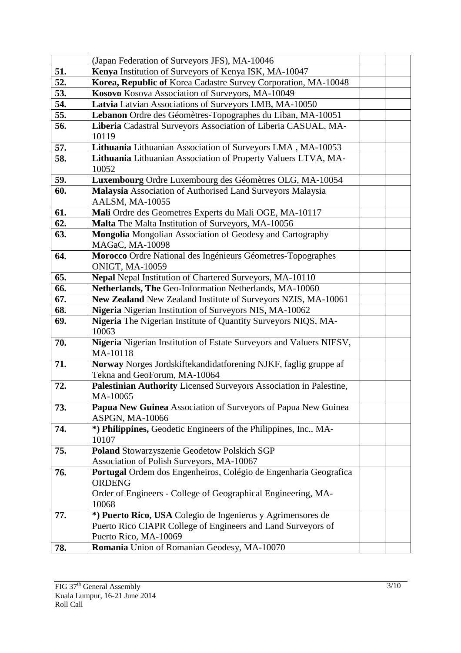|     | (Japan Federation of Surveyors JFS), MA-10046                       |  |
|-----|---------------------------------------------------------------------|--|
| 51. | Kenya Institution of Surveyors of Kenya ISK, MA-10047               |  |
| 52. | Korea, Republic of Korea Cadastre Survey Corporation, MA-10048      |  |
| 53. | Kosovo Kosova Association of Surveyors, MA-10049                    |  |
| 54. | Latvia Latvian Associations of Surveyors LMB, MA-10050              |  |
| 55. | Lebanon Ordre des Géomètres-Topographes du Liban, MA-10051          |  |
| 56. | Liberia Cadastral Surveyors Association of Liberia CASUAL, MA-      |  |
|     | 10119                                                               |  |
| 57. | Lithuania Lithuanian Association of Surveyors LMA, MA-10053         |  |
| 58. | Lithuania Lithuanian Association of Property Valuers LTVA, MA-      |  |
|     | 10052                                                               |  |
| 59. | Luxembourg Ordre Luxembourg des Géomètres OLG, MA-10054             |  |
| 60. | Malaysia Association of Authorised Land Surveyors Malaysia          |  |
|     | AALSM, MA-10055                                                     |  |
| 61. | Mali Ordre des Geometres Experts du Mali OGE, MA-10117              |  |
| 62. | Malta The Malta Institution of Surveyors, MA-10056                  |  |
| 63. | Mongolia Mongolian Association of Geodesy and Cartography           |  |
|     | MAGaC, MA-10098                                                     |  |
| 64. | Morocco Ordre National des Ingénieurs Géometres-Topographes         |  |
|     | <b>ONIGT, MA-10059</b>                                              |  |
| 65. | Nepal Nepal Institution of Chartered Surveyors, MA-10110            |  |
| 66. | Netherlands, The Geo-Information Netherlands, MA-10060              |  |
| 67. | New Zealand New Zealand Institute of Surveyors NZIS, MA-10061       |  |
| 68. | Nigeria Nigerian Institution of Surveyors NIS, MA-10062             |  |
| 69. | Nigeria The Nigerian Institute of Quantity Surveyors NIQS, MA-      |  |
|     | 10063                                                               |  |
| 70. | Nigeria Nigerian Institution of Estate Surveyors and Valuers NIESV, |  |
|     | MA-10118                                                            |  |
| 71. | Norway Norges Jordskiftekandidatforening NJKF, faglig gruppe af     |  |
|     | Tekna and GeoForum, MA-10064                                        |  |
| 72. | Palestinian Authority Licensed Surveyors Association in Palestine,  |  |
|     | MA-10065                                                            |  |
| 73. | Papua New Guinea Association of Surveyors of Papua New Guinea       |  |
|     | ASPGN, MA-10066                                                     |  |
| 74. | *) Philippines, Geodetic Engineers of the Philippines, Inc., MA-    |  |
|     | 10107                                                               |  |
| 75. | Poland Stowarzyszenie Geodetow Polskich SGP                         |  |
|     | Association of Polish Surveyors, MA-10067                           |  |
| 76. | Portugal Ordem dos Engenheiros, Colégio de Engenharia Geografica    |  |
|     | <b>ORDENG</b>                                                       |  |
|     | Order of Engineers - College of Geographical Engineering, MA-       |  |
|     | 10068                                                               |  |
| 77. | *) Puerto Rico, USA Colegio de Ingenieros y Agrimensores de         |  |
|     | Puerto Rico CIAPR College of Engineers and Land Surveyors of        |  |
|     | Puerto Rico, MA-10069                                               |  |
| 78. | Romania Union of Romanian Geodesy, MA-10070                         |  |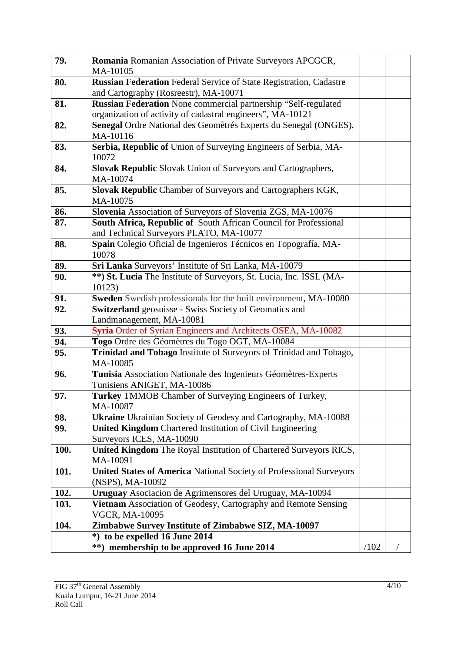| 79.  | Romania Romanian Association of Private Surveyors APCGCR,<br>MA-10105      |      |  |
|------|----------------------------------------------------------------------------|------|--|
| 80.  | <b>Russian Federation</b> Federal Service of State Registration, Cadastre  |      |  |
|      | and Cartography (Rosreestr), MA-10071                                      |      |  |
| 81.  | Russian Federation None commercial partnership "Self-regulated             |      |  |
|      | organization of activity of cadastral engineers", MA-10121                 |      |  |
| 82.  | Senegal Ordre National des Geomètrés Experts du Senegal (ONGES),           |      |  |
|      | MA-10116                                                                   |      |  |
| 83.  | Serbia, Republic of Union of Surveying Engineers of Serbia, MA-            |      |  |
|      | 10072                                                                      |      |  |
| 84.  | Slovak Republic Slovak Union of Surveyors and Cartographers,               |      |  |
|      | MA-10074                                                                   |      |  |
| 85.  | Slovak Republic Chamber of Surveyors and Cartographers KGK,                |      |  |
|      | MA-10075                                                                   |      |  |
| 86.  | Slovenia Association of Surveyors of Slovenia ZGS, MA-10076                |      |  |
| 87.  | South Africa, Republic of South African Council for Professional           |      |  |
|      | and Technical Surveyors PLATO, MA-10077                                    |      |  |
| 88.  | Spain Colegio Oficial de Ingenieros Técnicos en Topografía, MA-            |      |  |
|      | 10078                                                                      |      |  |
| 89.  | Sri Lanka Surveyors' Institute of Sri Lanka, MA-10079                      |      |  |
| 90.  | **) St. Lucia The Institute of Surveyors, St. Lucia, Inc. ISSL (MA-        |      |  |
|      | 10123)                                                                     |      |  |
| 91.  | Sweden Swedish professionals for the built environment, MA-10080           |      |  |
| 92.  | <b>Switzerland</b> geosuisse - Swiss Society of Geomatics and              |      |  |
|      | Landmanagement, MA-10081                                                   |      |  |
| 93.  | Syria Order of Syrian Engineers and Architects OSEA, MA-10082              |      |  |
| 94.  | Togo Ordre des Géomètres du Togo OGT, MA-10084                             |      |  |
| 95.  | Trinidad and Tobago Institute of Surveyors of Trinidad and Tobago,         |      |  |
|      | MA-10085                                                                   |      |  |
| 96.  | Tunisia Association Nationale des Ingenieurs Géomètres-Experts             |      |  |
|      | Tunisiens ANIGET, MA-10086                                                 |      |  |
| 97.  | Turkey TMMOB Chamber of Surveying Engineers of Turkey,                     |      |  |
|      | MA-10087                                                                   |      |  |
| 98.  | <b>Ukraine</b> Ukrainian Society of Geodesy and Cartography, MA-10088      |      |  |
| 99.  | <b>United Kingdom Chartered Institution of Civil Engineering</b>           |      |  |
|      | Surveyors ICES, MA-10090                                                   |      |  |
| 100. | United Kingdom The Royal Institution of Chartered Surveyors RICS,          |      |  |
|      | MA-10091                                                                   |      |  |
| 101. | <b>United States of America National Society of Professional Surveyors</b> |      |  |
|      | (NSPS), MA-10092                                                           |      |  |
| 102. | Uruguay Asociacion de Agrimensores del Uruguay, MA-10094                   |      |  |
| 103. | Vietnam Association of Geodesy, Cartography and Remote Sensing             |      |  |
|      | <b>VGCR, MA-10095</b>                                                      |      |  |
| 104. | Zimbabwe Survey Institute of Zimbabwe SIZ, MA-10097                        |      |  |
|      | *) to be expelled 16 June 2014                                             |      |  |
|      | **) membership to be approved 16 June 2014                                 | /102 |  |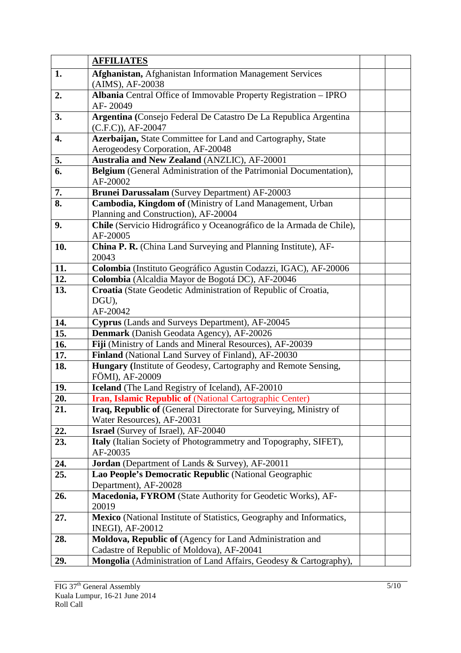|            | <b>AFFILIATES</b>                                                                                                  |  |
|------------|--------------------------------------------------------------------------------------------------------------------|--|
| 1.         | Afghanistan, Afghanistan Information Management Services                                                           |  |
|            | (AIMS), AF-20038                                                                                                   |  |
| 2.         | Albania Central Office of Immovable Property Registration - IPRO                                                   |  |
|            | AF-20049                                                                                                           |  |
| 3.         | Argentina (Consejo Federal De Catastro De La Republica Argentina                                                   |  |
|            | $(C.F.C)$ , AF-20047                                                                                               |  |
| 4.         | Azerbaijan, State Committee for Land and Cartography, State                                                        |  |
|            | Aerogeodesy Corporation, AF-20048                                                                                  |  |
| 5.         | Australia and New Zealand (ANZLIC), AF-20001                                                                       |  |
| 6.         | Belgium (General Administration of the Patrimonial Documentation),<br>AF-20002                                     |  |
| 7.         | Brunei Darussalam (Survey Department) AF-20003                                                                     |  |
| 8.         | Cambodia, Kingdom of (Ministry of Land Management, Urban                                                           |  |
|            | Planning and Construction), AF-20004                                                                               |  |
| 9.         | Chile (Servicio Hidrográfico y Oceanográfico de la Armada de Chile),                                               |  |
|            | AF-20005                                                                                                           |  |
| 10.        | China P. R. (China Land Surveying and Planning Institute), AF-                                                     |  |
|            | 20043                                                                                                              |  |
| 11.<br>12. | Colombia (Instituto Geográfico Agustin Codazzi, IGAC), AF-20006                                                    |  |
| 13.        | Colombia (Alcaldia Mayor de Bogotá DC), AF-20046<br>Croatia (State Geodetic Administration of Republic of Croatia, |  |
|            | DGU),                                                                                                              |  |
|            | AF-20042                                                                                                           |  |
| 14.        | Cyprus (Lands and Surveys Department), AF-20045                                                                    |  |
| 15.        | Denmark (Danish Geodata Agency), AF-20026                                                                          |  |
| 16.        | Fiji (Ministry of Lands and Mineral Resources), AF-20039                                                           |  |
| 17.        | Finland (National Land Survey of Finland), AF-20030                                                                |  |
| 18.        | Hungary (Institute of Geodesy, Cartography and Remote Sensing,                                                     |  |
|            | FÖMI), AF-20009                                                                                                    |  |
| 19.        | Iceland (The Land Registry of Iceland), AF-20010                                                                   |  |
| 20.        | Iran, Islamic Republic of (National Cartographic Center)                                                           |  |
| 21.        | Iraq, Republic of (General Directorate for Surveying, Ministry of                                                  |  |
| 22.        | Water Resources), AF-20031<br>Israel (Survey of Israel), AF-20040                                                  |  |
| 23.        | Italy (Italian Society of Photogrammetry and Topography, SIFET),                                                   |  |
|            | AF-20035                                                                                                           |  |
| 24.        | Jordan (Department of Lands & Survey), AF-20011                                                                    |  |
| 25.        | Lao People's Democratic Republic (National Geographic                                                              |  |
|            | Department), AF-20028                                                                                              |  |
| 26.        | Macedonia, FYROM (State Authority for Geodetic Works), AF-                                                         |  |
|            | 20019                                                                                                              |  |
| 27.        | Mexico (National Institute of Statistics, Geography and Informatics,                                               |  |
|            | <b>INEGI), AF-20012</b>                                                                                            |  |
| 28.        | Moldova, Republic of (Agency for Land Administration and                                                           |  |
|            | Cadastre of Republic of Moldova), AF-20041                                                                         |  |
| 29.        | Mongolia (Administration of Land Affairs, Geodesy & Cartography),                                                  |  |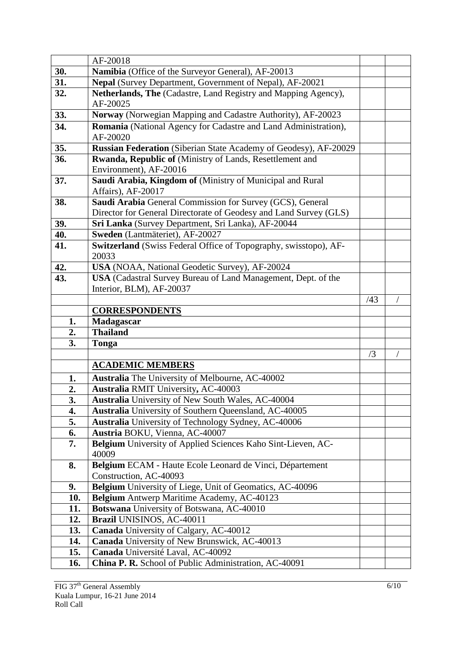|            | AF-20018                                                                                                   |     |  |
|------------|------------------------------------------------------------------------------------------------------------|-----|--|
| 30.        | Namibia (Office of the Surveyor General), AF-20013                                                         |     |  |
| 31.        | Nepal (Survey Department, Government of Nepal), AF-20021                                                   |     |  |
| 32.        | Netherlands, The (Cadastre, Land Registry and Mapping Agency),<br>AF-20025                                 |     |  |
| 33.        | Norway (Norwegian Mapping and Cadastre Authority), AF-20023                                                |     |  |
| 34.        | Romania (National Agency for Cadastre and Land Administration),<br>AF-20020                                |     |  |
| 35.        | Russian Federation (Siberian State Academy of Geodesy), AF-20029                                           |     |  |
| 36.        | Rwanda, Republic of (Ministry of Lands, Resettlement and<br>Environment), AF-20016                         |     |  |
| 37.        | Saudi Arabia, Kingdom of (Ministry of Municipal and Rural<br>Affairs), AF-20017                            |     |  |
| 38.        | Saudi Arabia General Commission for Survey (GCS), General                                                  |     |  |
|            | Director for General Directorate of Geodesy and Land Survey (GLS)                                          |     |  |
| 39.        | Sri Lanka (Survey Department, Sri Lanka), AF-20044                                                         |     |  |
| 40.        | Sweden (Lantmäteriet), AF-20027                                                                            |     |  |
| 41.        | Switzerland (Swiss Federal Office of Topography, swisstopo), AF-<br>20033                                  |     |  |
| 42.        | USA (NOAA, National Geodetic Survey), AF-20024                                                             |     |  |
| 43.        | USA (Cadastral Survey Bureau of Land Management, Dept. of the                                              |     |  |
|            | Interior, BLM), AF-20037                                                                                   |     |  |
|            |                                                                                                            | /43 |  |
|            | <b>CORRESPONDENTS</b>                                                                                      |     |  |
| 1.         | Madagascar                                                                                                 |     |  |
| 2.         | <b>Thailand</b>                                                                                            |     |  |
| 3.         | Tonga                                                                                                      |     |  |
|            | <b>ACADEMIC MEMBERS</b>                                                                                    | /3  |  |
|            |                                                                                                            |     |  |
| 1.         | Australia The University of Melbourne, AC-40002                                                            |     |  |
| 2.         | <b>Australia RMIT University, AC-40003</b>                                                                 |     |  |
| 3.<br>4.   | Australia University of New South Wales, AC-40004<br>Australia University of Southern Queensland, AC-40005 |     |  |
| 5.         | <b>Australia</b> University of Technology Sydney, AC-40006                                                 |     |  |
| 6.         | Austria BOKU, Vienna, AC-40007                                                                             |     |  |
| 7.         | Belgium University of Applied Sciences Kaho Sint-Lieven, AC-                                               |     |  |
|            | 40009                                                                                                      |     |  |
| 8.         | Belgium ECAM - Haute Ecole Leonard de Vinci, Département                                                   |     |  |
|            | Construction, AC-40093                                                                                     |     |  |
|            |                                                                                                            |     |  |
| 9.         |                                                                                                            |     |  |
| 10.        | Belgium University of Liege, Unit of Geomatics, AC-40096<br>Belgium Antwerp Maritime Academy, AC-40123     |     |  |
| 11.        | Botswana University of Botswana, AC-40010                                                                  |     |  |
| 12.        | Brazil UNISINOS, AC-40011                                                                                  |     |  |
| 13.        | Canada University of Calgary, AC-40012                                                                     |     |  |
| 14.        | Canada University of New Brunswick, AC-40013                                                               |     |  |
| 15.<br>16. | Canada Université Laval, AC-40092<br>China P. R. School of Public Administration, AC-40091                 |     |  |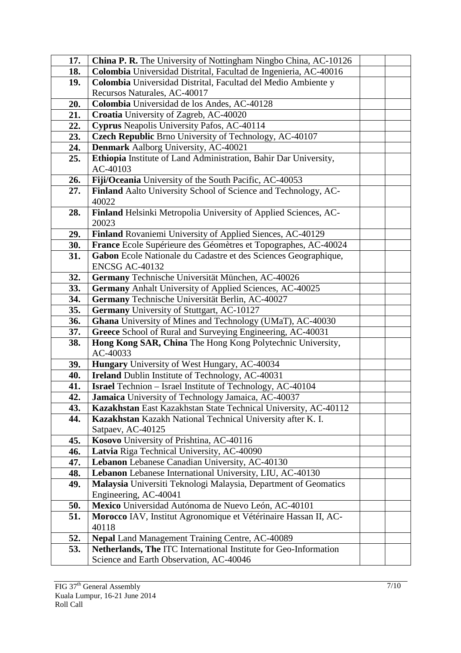| 17. | China P. R. The University of Nottingham Ningbo China, AC-10126              |  |
|-----|------------------------------------------------------------------------------|--|
| 18. | Colombia Universidad Distrital, Facultad de Ingenieria, AC-40016             |  |
| 19. | Colombia Universidad Distrital, Facultad del Medio Ambiente y                |  |
|     | Recursos Naturales, AC-40017                                                 |  |
| 20. | Colombia Universidad de los Andes, AC-40128                                  |  |
| 21. | Croatia University of Zagreb, AC-40020                                       |  |
| 22. | Cyprus Neapolis University Pafos, AC-40114                                   |  |
| 23. | Czech Republic Brno University of Technology, AC-40107                       |  |
| 24. | <b>Denmark</b> Aalborg University, AC-40021                                  |  |
| 25. | Ethiopia Institute of Land Administration, Bahir Dar University,<br>AC-40103 |  |
| 26. | Fiji/Oceania University of the South Pacific, AC-40053                       |  |
| 27. | Finland Aalto University School of Science and Technology, AC-               |  |
|     | 40022                                                                        |  |
| 28. | Finland Helsinki Metropolia University of Applied Sciences, AC-<br>20023     |  |
| 29. | Finland Rovaniemi University of Applied Siences, AC-40129                    |  |
| 30. | France Ecole Supérieure des Géomètres et Topographes, AC-40024               |  |
| 31. | Gabon Ecole Nationale du Cadastre et des Sciences Geographique,              |  |
|     | ENCSG AC-40132                                                               |  |
| 32. | Germany Technische Universität München, AC-40026                             |  |
| 33. | <b>Germany</b> Anhalt University of Applied Sciences, AC-40025               |  |
| 34. | Germany Technische Universität Berlin, AC-40027                              |  |
| 35. | Germany University of Stuttgart, AC-10127                                    |  |
| 36. | Ghana University of Mines and Technology (UMaT), AC-40030                    |  |
| 37. | Greece School of Rural and Surveying Engineering, AC-40031                   |  |
| 38. | Hong Kong SAR, China The Hong Kong Polytechnic University,<br>AC-40033       |  |
| 39. | Hungary University of West Hungary, AC-40034                                 |  |
| 40. | Ireland Dublin Institute of Technology, AC-40031                             |  |
| 41. | Israel Technion - Israel Institute of Technology, AC-40104                   |  |
| 42. | Jamaica University of Technology Jamaica, AC-40037                           |  |
| 43. | Kazakhstan East Kazakhstan State Technical University, AC-40112              |  |
| 44. | Kazakhstan Kazakh National Technical University after K. I.                  |  |
|     | Satpaev, AC-40125                                                            |  |
| 45. | Kosovo University of Prishtina, AC-40116                                     |  |
| 46. | Latvia Riga Technical University, AC-40090                                   |  |
| 47. | Lebanon Lebanese Canadian University, AC-40130                               |  |
| 48. | Lebanon Lebanese International University, LIU, AC-40130                     |  |
| 49. | Malaysia Universiti Teknologi Malaysia, Department of Geomatics              |  |
|     | Engineering, AC-40041                                                        |  |
| 50. | Mexico Universidad Autónoma de Nuevo León, AC-40101                          |  |
| 51. | Morocco IAV, Institut Agronomique et Vétérinaire Hassan II, AC-              |  |
|     | 40118                                                                        |  |
| 52. | <b>Nepal Land Management Training Centre, AC-40089</b>                       |  |
| 53. | Netherlands, The ITC International Institute for Geo-Information             |  |
|     | Science and Earth Observation, AC-40046                                      |  |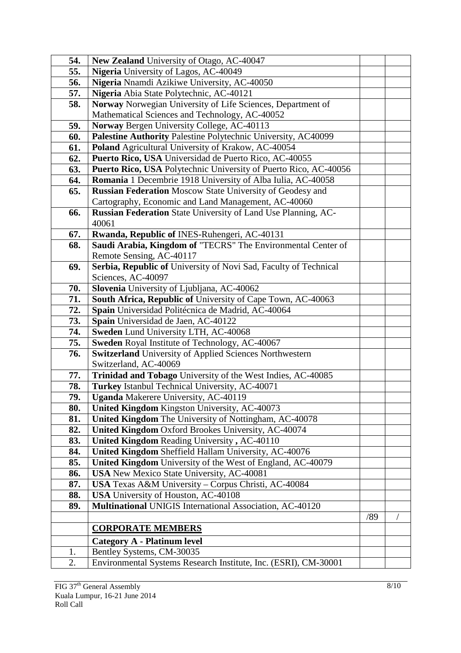| 54. | New Zealand University of Otago, AC-40047                                            |     |  |
|-----|--------------------------------------------------------------------------------------|-----|--|
| 55. | Nigeria University of Lagos, AC-40049                                                |     |  |
| 56. | Nigeria Nnamdi Azikiwe University, AC-40050                                          |     |  |
| 57. | Nigeria Abia State Polytechnic, AC-40121                                             |     |  |
| 58. | Norway Norwegian University of Life Sciences, Department of                          |     |  |
|     | Mathematical Sciences and Technology, AC-40052                                       |     |  |
| 59. | Norway Bergen University College, AC-40113                                           |     |  |
| 60. | Palestine Authority Palestine Polytechnic University, AC40099                        |     |  |
| 61. | Poland Agricultural University of Krakow, AC-40054                                   |     |  |
| 62. | Puerto Rico, USA Universidad de Puerto Rico, AC-40055                                |     |  |
| 63. | Puerto Rico, USA Polytechnic University of Puerto Rico, AC-40056                     |     |  |
| 64. | Romania 1 Decembrie 1918 University of Alba Iulia, AC-40058                          |     |  |
| 65. | <b>Russian Federation Moscow State University of Geodesy and</b>                     |     |  |
|     | Cartography, Economic and Land Management, AC-40060                                  |     |  |
| 66. | Russian Federation State University of Land Use Planning, AC-                        |     |  |
|     | 40061                                                                                |     |  |
| 67. | Rwanda, Republic of INES-Ruhengeri, AC-40131                                         |     |  |
| 68. | Saudi Arabia, Kingdom of "TECRS" The Environmental Center of                         |     |  |
|     | Remote Sensing, AC-40117                                                             |     |  |
| 69. | Serbia, Republic of University of Novi Sad, Faculty of Technical                     |     |  |
|     | Sciences, AC-40097                                                                   |     |  |
| 70. | Slovenia University of Ljubljana, AC-40062                                           |     |  |
| 71. | South Africa, Republic of University of Cape Town, AC-40063                          |     |  |
| 72. | Spain Universidad Politécnica de Madrid, AC-40064                                    |     |  |
| 73. | Spain Universidad de Jaen, AC-40122                                                  |     |  |
| 74. | Sweden Lund University LTH, AC-40068                                                 |     |  |
| 75. | Sweden Royal Institute of Technology, AC-40067                                       |     |  |
| 76. | <b>Switzerland</b> University of Applied Sciences Northwestern                       |     |  |
| 77. | Switzerland, AC-40069<br>Trinidad and Tobago University of the West Indies, AC-40085 |     |  |
| 78. | Turkey Istanbul Technical University, AC-40071                                       |     |  |
| 79. | <b>Uganda</b> Makerere University, AC-40119                                          |     |  |
| 80. | <b>United Kingdom Kingston University, AC-40073</b>                                  |     |  |
| 81. | United Kingdom The University of Nottingham, AC-40078                                |     |  |
| 82. | United Kingdom Oxford Brookes University, AC-40074                                   |     |  |
| 83. | United Kingdom Reading University, AC-40110                                          |     |  |
| 84. | United Kingdom Sheffield Hallam University, AC-40076                                 |     |  |
| 85. | United Kingdom University of the West of England, AC-40079                           |     |  |
| 86. | <b>USA</b> New Mexico State University, AC-40081                                     |     |  |
| 87. | USA Texas A&M University - Corpus Christi, AC-40084                                  |     |  |
| 88. | USA University of Houston, AC-40108                                                  |     |  |
| 89. | Multinational UNIGIS International Association, AC-40120                             |     |  |
|     |                                                                                      | /89 |  |
|     | <b>CORPORATE MEMBERS</b>                                                             |     |  |
|     | <b>Category A - Platinum level</b>                                                   |     |  |
| 1.  | Bentley Systems, CM-30035                                                            |     |  |
| 2.  | Environmental Systems Research Institute, Inc. (ESRI), CM-30001                      |     |  |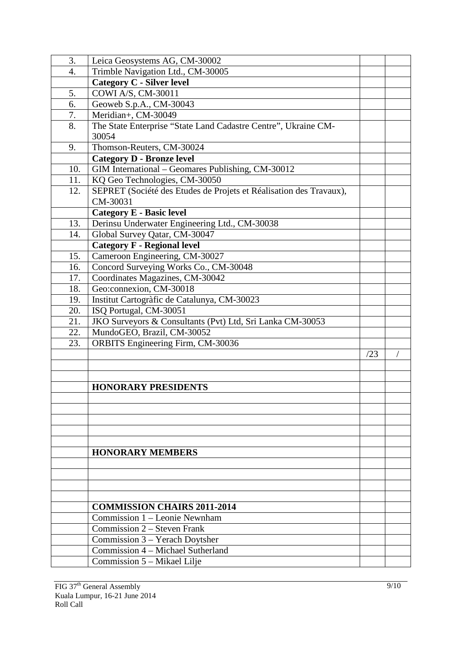| 3.               | Leica Geosystems AG, CM-30002                                      |     |  |
|------------------|--------------------------------------------------------------------|-----|--|
| $\overline{4}$ . | Trimble Navigation Ltd., CM-30005                                  |     |  |
|                  | <b>Category C - Silver level</b>                                   |     |  |
| 5.               | COWI A/S, CM-30011                                                 |     |  |
| 6.               | Geoweb S.p.A., CM-30043                                            |     |  |
| 7.               | Meridian+, CM-30049                                                |     |  |
| 8.               | The State Enterprise "State Land Cadastre Centre", Ukraine CM-     |     |  |
|                  | 30054                                                              |     |  |
| 9.               | Thomson-Reuters, CM-30024                                          |     |  |
|                  | <b>Category D - Bronze level</b>                                   |     |  |
| 10.              | GIM International - Geomares Publishing, CM-30012                  |     |  |
| 11.              | KQ Geo Technologies, CM-30050                                      |     |  |
| 12.              | SEPRET (Société des Etudes de Projets et Réalisation des Travaux), |     |  |
|                  | CM-30031                                                           |     |  |
|                  | <b>Category E - Basic level</b>                                    |     |  |
| 13.              | Derinsu Underwater Engineering Ltd., CM-30038                      |     |  |
| 14.              | Global Survey Qatar, CM-30047                                      |     |  |
|                  | <b>Category F - Regional level</b>                                 |     |  |
| 15.              | Cameroon Engineering, CM-30027                                     |     |  |
| 16.              | Concord Surveying Works Co., CM-30048                              |     |  |
| 17.              | Coordinates Magazines, CM-30042                                    |     |  |
| 18.              | Geo:connexion, CM-30018                                            |     |  |
| 19.              | Institut Cartogràfic de Catalunya, CM-30023                        |     |  |
| 20.              | ISQ Portugal, CM-30051                                             |     |  |
| 21.              | JKO Surveyors & Consultants (Pvt) Ltd, Sri Lanka CM-30053          |     |  |
| 22.              | MundoGEO, Brazil, CM-30052                                         |     |  |
| 23.              | <b>ORBITS</b> Engineering Firm, CM-30036                           |     |  |
|                  |                                                                    | /23 |  |
|                  |                                                                    |     |  |
|                  |                                                                    |     |  |
|                  | <b>HONORARY PRESIDENTS</b>                                         |     |  |
|                  |                                                                    |     |  |
|                  |                                                                    |     |  |
|                  |                                                                    |     |  |
|                  |                                                                    |     |  |
|                  |                                                                    |     |  |
|                  | <b>HONORARY MEMBERS</b>                                            |     |  |
|                  |                                                                    |     |  |
|                  |                                                                    |     |  |
|                  |                                                                    |     |  |
|                  |                                                                    |     |  |
|                  | <b>COMMISSION CHAIRS 2011-2014</b>                                 |     |  |
|                  | Commission 1 - Leonie Newnham                                      |     |  |
|                  | Commission 2 – Steven Frank                                        |     |  |
|                  | Commission 3 - Yerach Doytsher                                     |     |  |
|                  | Commission 4 - Michael Sutherland                                  |     |  |
|                  | Commission 5 – Mikael Lilje                                        |     |  |